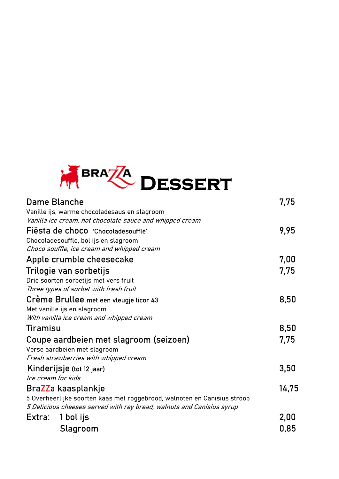

|                 | Dame Blanche                                                             | 7,75  |
|-----------------|--------------------------------------------------------------------------|-------|
|                 | Vanille ijs, warme chocoladesaus en slagroom                             |       |
|                 | Vanilla ice cream, hot chocolate sauce and whipped cream                 |       |
|                 | Fiësta de choco 'Chocoladesouffle'                                       | 9,95  |
|                 | Chocoladesouffle, bol ijs en slagroom                                    |       |
|                 | Choco souffle, ice cream and whipped cream                               |       |
|                 | Apple crumble cheesecake                                                 | 7,00  |
|                 | Trilogie van sorbetijs                                                   | 7,75  |
|                 | Drie soorten sorbetijs met vers fruit                                    |       |
|                 | Three types of sorbet with fresh fruit                                   |       |
|                 | Crème Brullee met een vleugie licor 43                                   | 8,50  |
|                 | Met vanille ijs en slagroom                                              |       |
|                 | With vanilla ice cream and whipped cream                                 |       |
| <b>Tiramisu</b> |                                                                          | 8,50  |
|                 | Coupe aardbeien met slagroom (seizoen)                                   | 7,75  |
|                 | Verse aardbeien met slagroom                                             |       |
|                 | Fresh strawberries with whipped cream                                    |       |
|                 | Kinderijsje (tot 12 jaar)                                                | 3,50  |
|                 | Ice cream for kids                                                       |       |
|                 | BraZZa kaasplankje                                                       | 14,75 |
|                 | 5 Overheerlijke soorten kaas met roggebrood, walnoten en Canisius stroop |       |
|                 | 5 Delicious cheeses served with rey bread, walnuts and Canisius syrup    |       |
| Extra:          | 1 bol ijs                                                                | 2,00  |
|                 | Slagroom                                                                 | 0,85  |
|                 |                                                                          |       |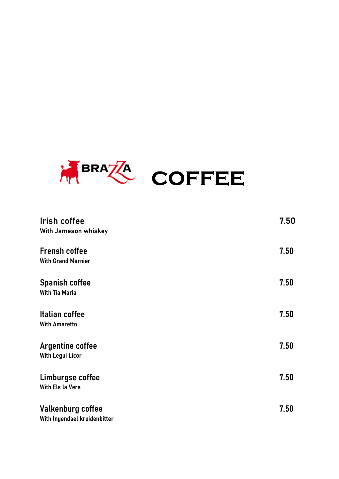

| <b>Irish coffee</b>                                      | 7.50 |
|----------------------------------------------------------|------|
| With Jameson whiskey                                     |      |
| <b>Frensh coffee</b><br><b>With Grand Marnier</b>        | 7.50 |
| <b>Spanish coffee</b><br><b>With Tia Maria</b>           | 7.50 |
| <b>Italian coffee</b><br><b>With Ameretto</b>            | 7.50 |
| <b>Argentine coffee</b><br><b>With Legui Licor</b>       | 7.50 |
| Limburgse coffee<br>With Els la Vera                     | 7.50 |
| <b>Valkenburg coffee</b><br>With Ingendael kruidenbitter | 7.50 |